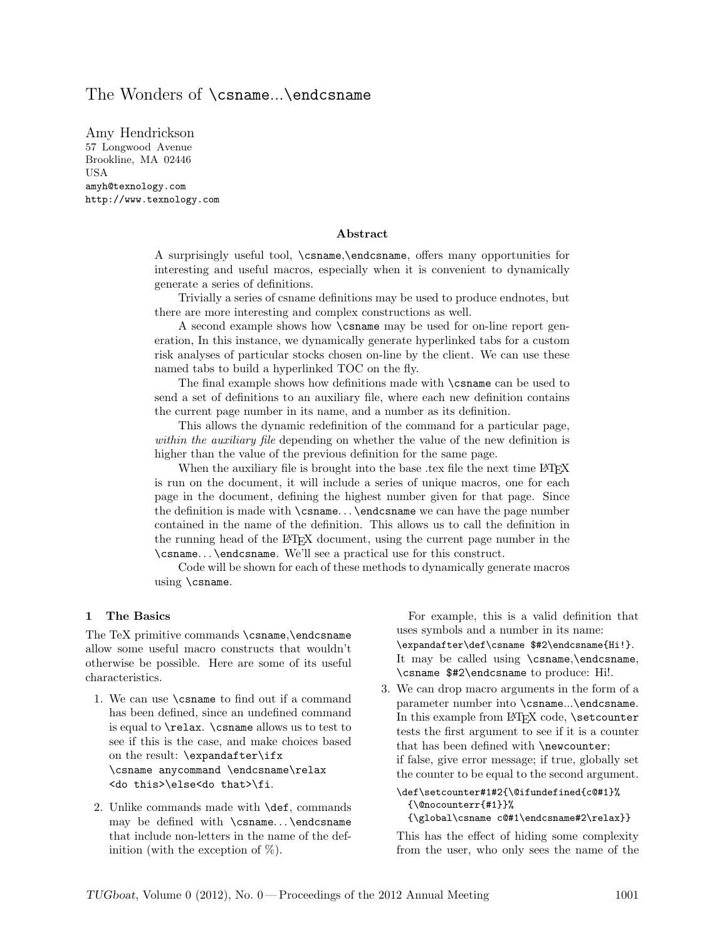# The Wonders of \csname...\endcsname

Amy Hendrickson 57 Longwood Avenue Brookline, MA 02446 USA amyh@texnology.com http://www.texnology.com

### Abstract

A surprisingly useful tool, \csname,\endcsname, offers many opportunities for interesting and useful macros, especially when it is convenient to dynamically generate a series of definitions.

Trivially a series of csname definitions may be used to produce endnotes, but there are more interesting and complex constructions as well.

A second example shows how \csname may be used for on-line report generation, In this instance, we dynamically generate hyperlinked tabs for a custom risk analyses of particular stocks chosen on-line by the client. We can use these named tabs to build a hyperlinked TOC on the fly.

The final example shows how definitions made with \csname can be used to send a set of definitions to an auxiliary file, where each new definition contains the current page number in its name, and a number as its definition.

This allows the dynamic redefinition of the command for a particular page, within the *auxiliary file* depending on whether the value of the new definition is higher than the value of the previous definition for the same page.

When the auxiliary file is brought into the base .tex file the next time LAT<sub>EX</sub> is run on the document, it will include a series of unique macros, one for each page in the document, defining the highest number given for that page. Since the definition is made with \csname. . . \endcsname we can have the page number contained in the name of the definition. This allows us to call the definition in the running head of the LATEX document, using the current page number in the \csname. . . \endcsname. We'll see a practical use for this construct.

Code will be shown for each of these methods to dynamically generate macros using \csname.

#### 1 The Basics

The TeX primitive commands \csname,\endcsname allow some useful macro constructs that wouldn't otherwise be possible. Here are some of its useful characteristics.

- 1. We can use \csname to find out if a command has been defined, since an undefined command is equal to \relax. \csname allows us to test to see if this is the case, and make choices based on the result: \expandafter\ifx \csname anycommand \endcsname\relax <do this>\else<do that>\fi.
- 2. Unlike commands made with \def, commands may be defined with \csname. . . \endcsname that include non-letters in the name of the definition (with the exception of  $\%$ ).

For example, this is a valid definition that uses symbols and a number in its name: \expandafter\def\csname \$#2\endcsname{Hi!}. It may be called using \csname,\endcsname, \csname \$#2\endcsname to produce: Hi!.

3. We can drop macro arguments in the form of a parameter number into \csname...\endcsname. In this example from LAT<sub>E</sub>X code, **\setcounter** tests the first argument to see if it is a counter that has been defined with \newcounter; if false, give error message; if true, globally set the counter to be equal to the second argument.

```
\def\setcounter#1#2{\@ifundefined{c@#1}%
 {\@nocounterr{#1}}%
 {\global\csname c@#1\endcsname#2\relax}}
```
This has the effect of hiding some complexity from the user, who only sees the name of the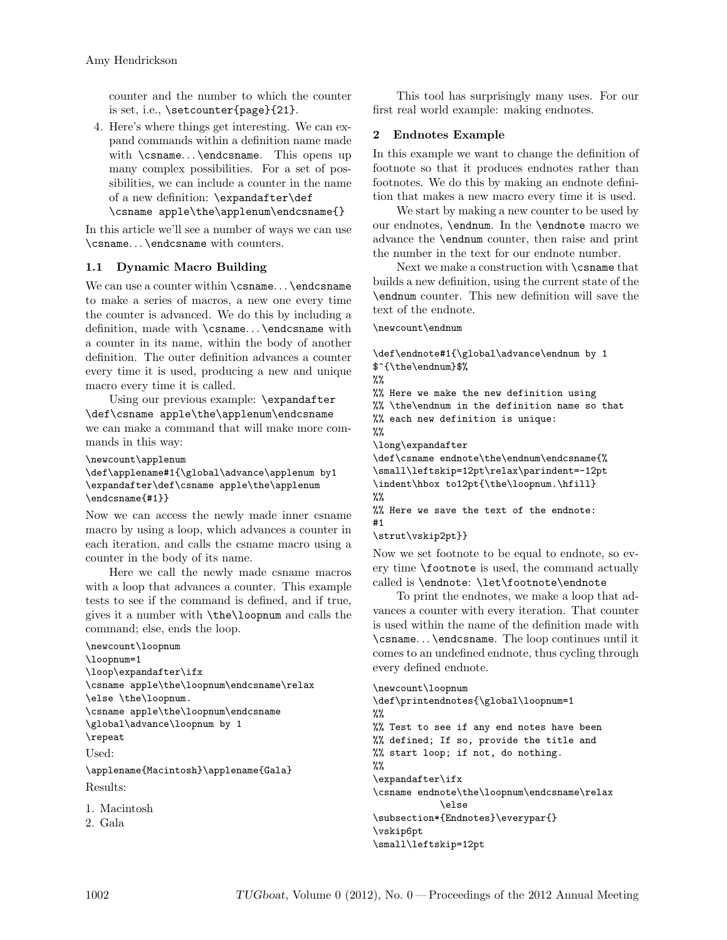counter and the number to which the counter is set, i.e., \setcounter{page}{21}.

4. Here's where things get interesting. We can expand commands within a definition name made with \csname... \endcsname. This opens up many complex possibilities. For a set of possibilities, we can include a counter in the name of a new definition: \expandafter\def

### \csname apple\the\applenum\endcsname{}

In this article we'll see a number of ways we can use \csname. . . \endcsname with counters.

### 1.1 Dynamic Macro Building

We can use a counter within \csname... \endcsname to make a series of macros, a new one every time the counter is advanced. We do this by including a definition, made with \csname. . . \endcsname with a counter in its name, within the body of another definition. The outer definition advances a counter every time it is used, producing a new and unique macro every time it is called.

Using our previous example: \expandafter \def\csname apple\the\applenum\endcsname we can make a command that will make more commands in this way:

\newcount\applenum

```
\def\applename#1{\global\advance\applenum by1
\expandafter\def\csname apple\the\applenum
\endcsname{#1}}
```
Now we can access the newly made inner csname macro by using a loop, which advances a counter in each iteration, and calls the csname macro using a counter in the body of its name.

Here we call the newly made csname macros with a loop that advances a counter. This example tests to see if the command is defined, and if true, gives it a number with \the\loopnum and calls the command; else, ends the loop.

```
\newcount\loopnum
\loopnum=1
\loop\expandafter\ifx
\csname apple\the\loopnum\endcsname\relax
\else \the\loopnum.
\csname apple\the\loopnum\endcsname
\global\advance\loopnum by 1
\repeat
Used:
\applename{Macintosh}\applename{Gala}
Results:
```

```
1. Macintosh
```

```
2. Gala
```
This tool has surprisingly many uses. For our first real world example: making endnotes.

## 2 Endnotes Example

In this example we want to change the definition of footnote so that it produces endnotes rather than footnotes. We do this by making an endnote definition that makes a new macro every time it is used.

We start by making a new counter to be used by our endnotes, \endnum. In the \endnote macro we advance the \endnum counter, then raise and print the number in the text for our endnote number.

Next we make a construction with \csname that builds a new definition, using the current state of the \endnum counter. This new definition will save the text of the endnote.

\newcount\endnum

```
\def\endnote#1{\global\advance\endnum by 1
$^{\the\endnum}$%
\gamma%% Here we make the new definition using
%% \the\endnum in the definition name so that
%% each new definition is unique:
%%
\long\expandafter
\def\csname endnote\the\endnum\endcsname{%
\small\leftskip=12pt\relax\parindent=-12pt
\indent\hbox to12pt{\the\loopnum.\hfill}
\frac{2}{3}%% Here we save the text of the endnote:
#1
\strut\vskip2pt}}
```
Now we set footnote to be equal to endnote, so every time \footnote is used, the command actually called is \endnote: \let\footnote\endnote

To print the endnotes, we make a loop that advances a counter with every iteration. That counter is used within the name of the definition made with \csname. . . \endcsname. The loop continues until it comes to an undefined endnote, thus cycling through every defined endnote.

```
\newcount\loopnum
\def\printendnotes{\global\loopnum=1
\frac{2}{3}%% Test to see if any end notes have been
%% defined; If so, provide the title and
%% start loop; if not, do nothing.
\frac{9}{2}\expandafter\ifx
\csname endnote\the\loopnum\endcsname\relax
            \else
\subsection*{Endnotes}\everypar{}
\vskip6pt
\small\leftskip=12pt
```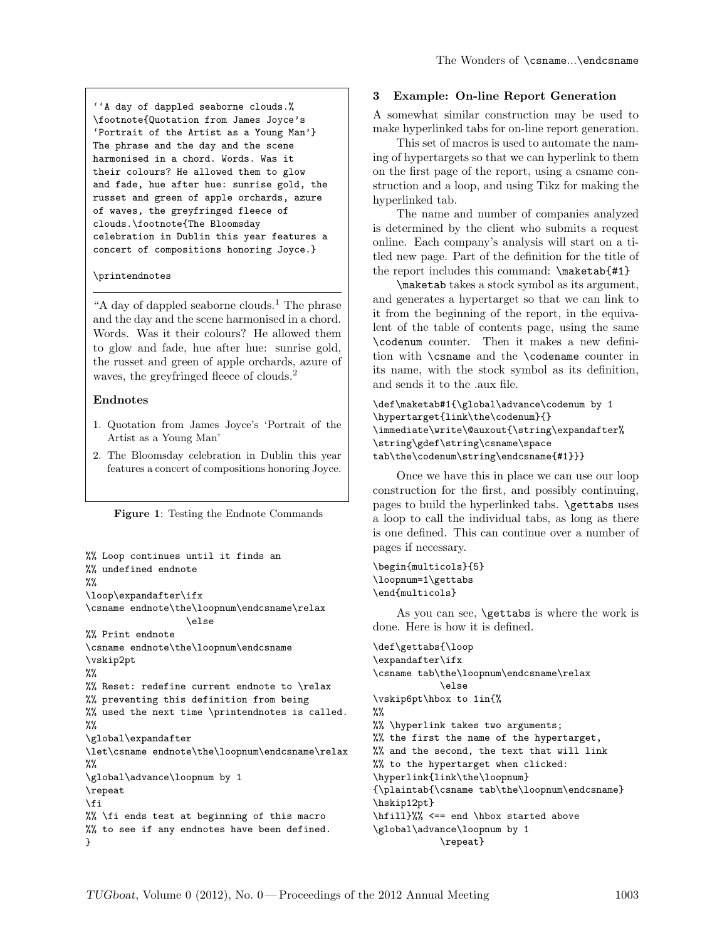''A day of dappled seaborne clouds.% \footnote{Quotation from James Joyce's 'Portrait of the Artist as a Young Man'} The phrase and the day and the scene harmonised in a chord. Words. Was it their colours? He allowed them to glow and fade, hue after hue: sunrise gold, the russet and green of apple orchards, azure of waves, the greyfringed fleece of clouds.\footnote{The Bloomsday celebration in Dublin this year features a concert of compositions honoring Joyce.}

#### \printendnotes

"A day of dappled seaborne clouds.<sup>1</sup> The phrase and the day and the scene harmonised in a chord. Words. Was it their colours? He allowed them to glow and fade, hue after hue: sunrise gold, the russet and green of apple orchards, azure of waves, the greyfringed fleece of clouds.<sup>2</sup>

#### Endnotes

- 1. Quotation from James Joyce's 'Portrait of the Artist as a Young Man'
- 2. The Bloomsday celebration in Dublin this year features a concert of compositions honoring Joyce.

|  |  |  |  |  | Figure 1: Testing the Endnote Commands |
|--|--|--|--|--|----------------------------------------|
|--|--|--|--|--|----------------------------------------|

```
%% Loop continues until it finds an
%% undefined endnote
\%\loop\expandafter\ifx
\csname endnote\the\loopnum\endcsname\relax
                  \else
%% Print endnote
\csname endnote\the\loopnum\endcsname
\vskip2pt
\%%% Reset: redefine current endnote to \relax
%% preventing this definition from being
%% used the next time \printendnotes is called.
\%\global\expandafter
\let\csname endnote\the\loopnum\endcsname\relax
\frac{9}{2}\global\advance\loopnum by 1
\repeat
\eta%% \fi ends test at beginning of this macro
%% to see if any endnotes have been defined.
}
```
#### 3 Example: On-line Report Generation

A somewhat similar construction may be used to make hyperlinked tabs for on-line report generation.

This set of macros is used to automate the naming of hypertargets so that we can hyperlink to them on the first page of the report, using a csname construction and a loop, and using Tikz for making the hyperlinked tab.

The name and number of companies analyzed is determined by the client who submits a request online. Each company's analysis will start on a titled new page. Part of the definition for the title of the report includes this command: \maketab{#1}

\maketab takes a stock symbol as its argument, and generates a hypertarget so that we can link to it from the beginning of the report, in the equivalent of the table of contents page, using the same \codenum counter. Then it makes a new definition with \csname and the \codename counter in its name, with the stock symbol as its definition, and sends it to the .aux file.

```
\def\maketab#1{\global\advance\codenum by 1
\hypertarget{link\the\codenum}{}
\immediate\write\@auxout{\string\expandafter%
\string\gdef\string\csname\space
tab\the\codenum\string\endcsname{#1}}}
```
Once we have this in place we can use our loop construction for the first, and possibly continuing, pages to build the hyperlinked tabs. **\gettabs** uses a loop to call the individual tabs, as long as there is one defined. This can continue over a number of pages if necessary.

```
\begin{multicols}{5}
\loopnum=1\gettabs
\end{multicols}
```
As you can see, \gettabs is where the work is done. Here is how it is defined.

```
\def\gettabs{\loop
\expandafter\ifx
\csname tab\the\loopnum\endcsname\relax
            \else
\vskip6pt\hbox to 1in{%
%%
%% \hyperlink takes two arguments;
%% the first the name of the hypertarget,
%% and the second, the text that will link
%% to the hypertarget when clicked:
\hyperlink{link\the\loopnum}
{\plaintab{\csname tab\the\loopnum\endcsname}
\hskip12pt}
\hfill}%% <== end \hbox started above
\global\advance\loopnum by 1
            \repeat}
```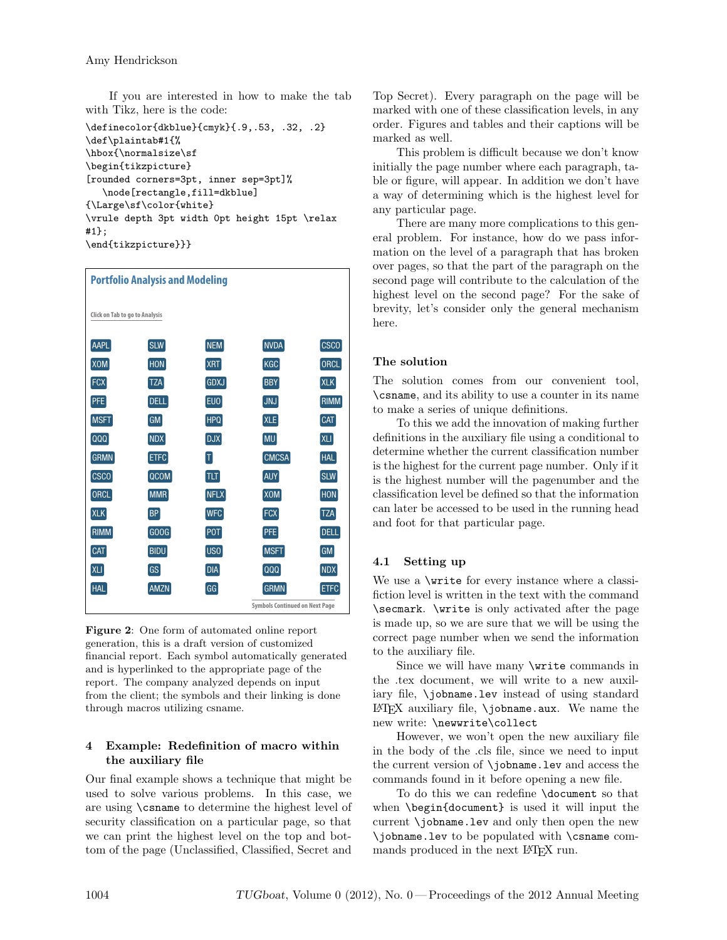If you are interested in how to make the tab with Tikz, here is the code:

```
\definecolor{dkblue}{cmyk}{.9,.53, .32, .2}
\def\plaintab#1{%
\hbox{\normalsize\sf
\begin{tikzpicture}
[rounded corners=3pt, inner sep=3pt]%
   \node[rectangle,fill=dkblue]
{\Large\sf\color{white}
\vrule depth 3pt width 0pt height 15pt \relax
#1};
#1f;<br>\end{tikzpicture}}}
```

| <b>Portfolio Analysis and Modeling</b> |             |                                       |             |             |  |  |  |  |  |
|----------------------------------------|-------------|---------------------------------------|-------------|-------------|--|--|--|--|--|
|                                        |             |                                       |             |             |  |  |  |  |  |
| Click on Tab to go to Analysis         |             |                                       |             |             |  |  |  |  |  |
| AAPL                                   | <b>SLW</b>  | <b>NEM</b>                            | <b>NVDA</b> | CSCO        |  |  |  |  |  |
| <b>XOM</b>                             | <b>HON</b>  | XRT                                   | KGC         | <b>ORCL</b> |  |  |  |  |  |
| <b>FCX</b>                             | <b>TZA</b>  | <b>GDXJ</b>                           | <b>BBY</b>  | <b>XLK</b>  |  |  |  |  |  |
| <b>PFE</b>                             | <b>DELL</b> | EUO                                   | JNJ         | <b>RIMM</b> |  |  |  |  |  |
| MSFT                                   | GM          | <b>HPQ</b>                            | <b>XLE</b>  | CAT         |  |  |  |  |  |
| $\lceil$ QQQ                           | <b>NDX</b>  | <b>DJX</b>                            | <b>MU</b>   | <b>XLI</b>  |  |  |  |  |  |
| GRMN                                   | ETFC        | $ \mathsf{T} $                        | CMCSA       | <b>HAL</b>  |  |  |  |  |  |
| <b>CSCO</b>                            | QCOM        | TLT                                   | <b>AUY</b>  | <b>SLW</b>  |  |  |  |  |  |
| ORCL                                   | MMR         | <b>NFLX</b>                           | XOM         | <b>HON</b>  |  |  |  |  |  |
| <b>XLK</b>                             | <b>BP</b>   | <b>WFC</b>                            | <b>FCX</b>  | <b>TZA</b>  |  |  |  |  |  |
| <b>RIMM</b>                            | GOOG        | POT                                   | <b>PFE</b>  | <b>DELL</b> |  |  |  |  |  |
| CAT                                    | <b>BIDU</b> | USO <sup>1</sup>                      | <b>MSFT</b> | <b>GM</b>   |  |  |  |  |  |
| XLI                                    | GS          | <b>DIA</b>                            | QQQ         | <b>NDX</b>  |  |  |  |  |  |
| <b>HAL</b>                             | <b>AMZN</b> | GG                                    | <b>GRMN</b> | <b>ETFC</b> |  |  |  |  |  |
|                                        |             | <b>Symbols Continued on Next Page</b> |             |             |  |  |  |  |  |

Figure 2: One form of automated online report generation, this is a draft version of customized financial report. Each symbol automatically generated and is hyperlinked to the appropriate page of the report. The company analyzed depends on input from the client; the symbols and their linking is done through macros utilizing csname.

### 4 Example: Redefinition of macro within the auxiliary file

Our final example shows a technique that might be used to solve various problems. In this case, we are using \csname to determine the highest level of security classification on a particular page, so that we can print the highest level on the top and bottom of the page (Unclassified, Classified, Secret and

Top Secret). Every paragraph on the page will be marked with one of these classification levels, in any order. Figures and tables and their captions will be marked as well.

This problem is difficult because we don't know initially the page number where each paragraph, table or figure, will appear. In addition we don't have a way of determining which is the highest level for any particular page.

There are many more complications to this general problem. For instance, how do we pass information on the level of a paragraph that has broken over pages, so that the part of the paragraph on the second page will contribute to the calculation of the highest level on the second page? For the sake of brevity, let's consider only the general mechanism here.

### The solution

The solution comes from our convenient tool, \csname, and its ability to use a counter in its name to make a series of unique definitions.

To this we add the innovation of making further definitions in the auxiliary file using a conditional to determine whether the current classification number is the highest for the current page number. Only if it is the highest number will the pagenumber and the classification level be defined so that the information can later be accessed to be used in the running head and foot for that particular page.

### 4.1 Setting up

We use a \write for every instance where a classifiction level is written in the text with the command \secmark. \write is only activated after the page is made up, so we are sure that we will be using the correct page number when we send the information to the auxiliary file.

Since we will have many \write commands in the .tex document, we will write to a new auxiliary file, **\**jobname.lev instead of using standard LATEX auxiliary file, \jobname.aux. We name the new write: \newwrite\collect

However, we won't open the new auxiliary file in the body of the .cls file, since we need to input the current version of \jobname.lev and access the commands found in it before opening a new file.

To do this we can redefine \document so that when \begin{document} is used it will input the current \jobname.lev and only then open the new \jobname.lev to be populated with \csname commands produced in the next LAT<sub>F</sub>X run.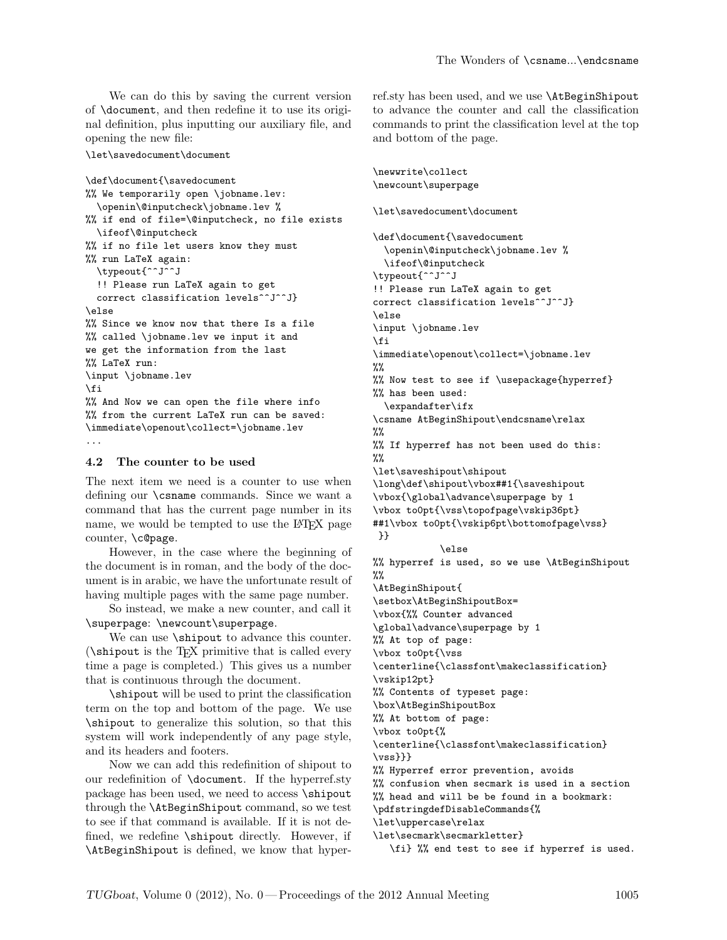We can do this by saving the current version of \document, and then redefine it to use its original definition, plus inputting our auxiliary file, and opening the new file:

\let\savedocument\document

```
\def\document{\savedocument
%% We temporarily open \jobname.lev:
  \openin\@inputcheck\jobname.lev %
%% if end of file=\@inputcheck, no file exists
 \ifeof\@inputcheck
%% if no file let users know they must
%% run LaTeX again:
  \typeout{^^J^^J
  !! Please run LaTeX again to get
 correct classification levels^^J^^J}
\else
%% Since we know now that there Is a file
%% called \jobname.lev we input it and
we get the information from the last
%% LaTeX run:
\input \jobname.lev
\fi
%% And Now we can open the file where info
%% from the current LaTeX run can be saved:
\immediate\openout\collect=\jobname.lev
...
```
#### 4.2 The counter to be used

The next item we need is a counter to use when defining our \csname commands. Since we want a command that has the current page number in its name, we would be tempted to use the LATEX page counter, \c@page.

However, in the case where the beginning of the document is in roman, and the body of the document is in arabic, we have the unfortunate result of having multiple pages with the same page number.

So instead, we make a new counter, and call it \superpage: \newcount\superpage.

We can use **\shipout** to advance this counter. (\shipout is the TEX primitive that is called every time a page is completed.) This gives us a number that is continuous through the document.

\shipout will be used to print the classification term on the top and bottom of the page. We use \shipout to generalize this solution, so that this system will work independently of any page style, and its headers and footers.

Now we can add this redefinition of shipout to our redefinition of \document. If the hyperref.sty package has been used, we need to access \shipout through the \AtBeginShipout command, so we test to see if that command is available. If it is not defined, we redefine \shipout directly. However, if \AtBeginShipout is defined, we know that hyperref.sty has been used, and we use \AtBeginShipout to advance the counter and call the classification commands to print the classification level at the top and bottom of the page.

```
\newwrite\collect
\newcount\superpage
\let\savedocument\document
\def\document{\savedocument
  \openin\@inputcheck\jobname.lev %
  \ifeof\@inputcheck
\typeout{^^J^^J
!! Please run LaTeX again to get
correct classification levels^^J^^J}
\else
\input \jobname.lev
\fi
\immediate\openout\collect=\jobname.lev
\frac{9}{2}%% Now test to see if \usepackage{hyperref}
%% has been used:
  \expandafter\ifx
\csname AtBeginShipout\endcsname\relax
%%
%% If hyperref has not been used do this:
\%\let\saveshipout\shipout
\long\def\shipout\vbox##1{\saveshipout
\vbox{\global\advance\superpage by 1
\vbox to0pt{\vss\topofpage\vskip36pt}
##1\vbox to0pt{\vskip6pt\bottomofpage\vss}
}}
            \else
%% hyperref is used, so we use \AtBeginShipout
%%
\AtBeginShipout{
\setbox\AtBeginShipoutBox=
\vbox{%% Counter advanced
\global\advance\superpage by 1
%% At top of page:
\vbox to0pt{\vss
\centerline{\classfont\makeclassification}
\vskip12pt}
%% Contents of typeset page:
\box\AtBeginShipoutBox
%% At bottom of page:
\vbox to0pt{%
\centerline{\classfont\makeclassification}
\{vss\}}}
%% Hyperref error prevention, avoids
%% confusion when secmark is used in a section
%% head and will be be found in a bookmark:
\pdfstringdefDisableCommands{%
\let\uppercase\relax
\let\secmark\secmarkletter}
   \fi} %% end test to see if hyperref is used.
```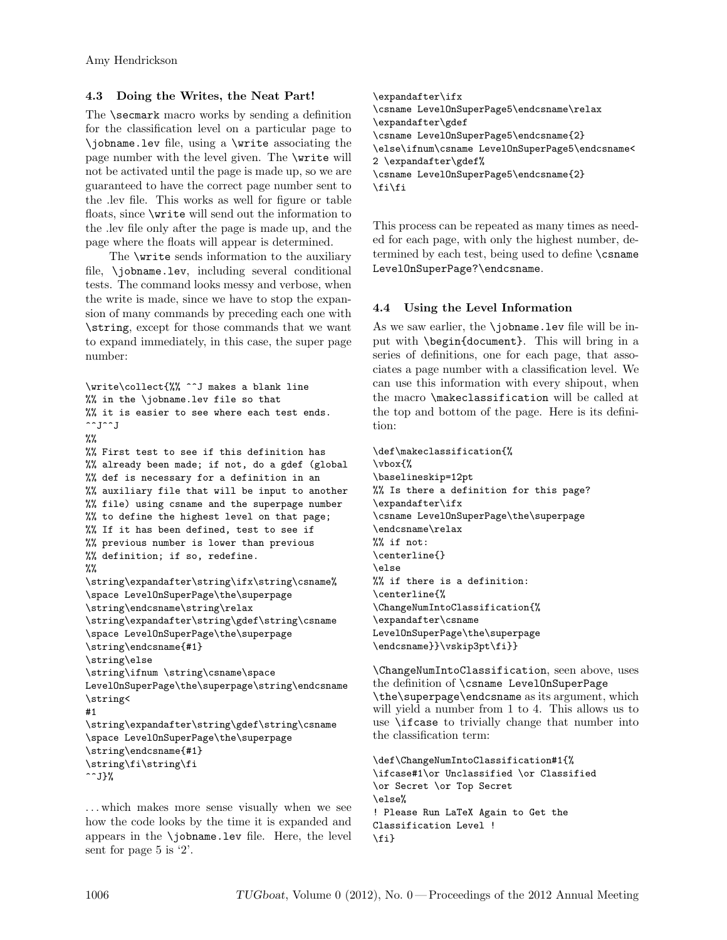# 4.3 Doing the Writes, the Neat Part!

The **\secmark** macro works by sending a definition for the classification level on a particular page to \jobname.lev file, using a \write associating the page number with the level given. The \write will not be activated until the page is made up, so we are guaranteed to have the correct page number sent to the .lev file. This works as well for figure or table floats, since \write will send out the information to the .lev file only after the page is made up, and the page where the floats will appear is determined.

The \write sends information to the auxiliary file, \jobname.lev, including several conditional tests. The command looks messy and verbose, when the write is made, since we have to stop the expansion of many commands by preceding each one with \string, except for those commands that we want to expand immediately, in this case, the super page number:

```
\write\collect{%% ^^J makes a blank line
%% in the \jobname.lev file so that
%% it is easier to see where each test ends.
\simJ\simJ
\%%
%% First test to see if this definition has
%% already been made; if not, do a gdef (global
%% def is necessary for a definition in an
%% auxiliary file that will be input to another
%% file) using csname and the superpage number
%% to define the highest level on that page;
%% If it has been defined, test to see if
%% previous number is lower than previous
%% definition; if so, redefine.
\%\string\expandafter\string\ifx\string\csname%
\space LevelOnSuperPage\the\superpage
\string\endcsname\string\relax
\string\expandafter\string\gdef\string\csname
\space LevelOnSuperPage\the\superpage
\string\endcsname{#1}
\string\else
\string\ifnum \string\csname\space
LevelOnSuperPage\the\superpage\string\endcsname
\string<
#1
\string\expandafter\string\gdef\string\csname
\space LevelOnSuperPage\the\superpage
\string\endcsname{#1}
\string\fi\string\fi
\simJ}%
```
. . . which makes more sense visually when we see how the code looks by the time it is expanded and appears in the \jobname.lev file. Here, the level sent for page 5 is '2'.

\expandafter\ifx \csname LevelOnSuperPage5\endcsname\relax \expandafter\gdef \csname LevelOnSuperPage5\endcsname{2} \else\ifnum\csname LevelOnSuperPage5\endcsname< 2 \expandafter\gdef% \csname LevelOnSuperPage5\endcsname{2} \fi\fi

This process can be repeated as many times as needed for each page, with only the highest number, determined by each test, being used to define \csname LevelOnSuperPage?\endcsname.

# 4.4 Using the Level Information

As we saw earlier, the  $\iota$  jobname.lev file will be input with \begin{document}. This will bring in a series of definitions, one for each page, that associates a page number with a classification level. We can use this information with every shipout, when the macro \makeclassification will be called at the top and bottom of the page. Here is its definition:

\def\makeclassification{% \vbox{% \baselineskip=12pt %% Is there a definition for this page? \expandafter\ifx \csname LevelOnSuperPage\the\superpage \endcsname\relax %% if not: \centerline{} \else %% if there is a definition: \centerline{% \ChangeNumIntoClassification{% \expandafter\csname LevelOnSuperPage\the\superpage \endcsname}}\vskip3pt\fi}}

\ChangeNumIntoClassification, seen above, uses the definition of \csname LevelOnSuperPage \the\superpage\endcsname as its argument, which will yield a number from 1 to 4. This allows us to use \ifcase to trivially change that number into the classification term:

```
\def\ChangeNumIntoClassification#1{%
\ifcase#1\or Unclassified \or Classified
\or Secret \or Top Secret
\else%
! Please Run LaTeX Again to Get the
Classification Level !
\{f_i\}
```